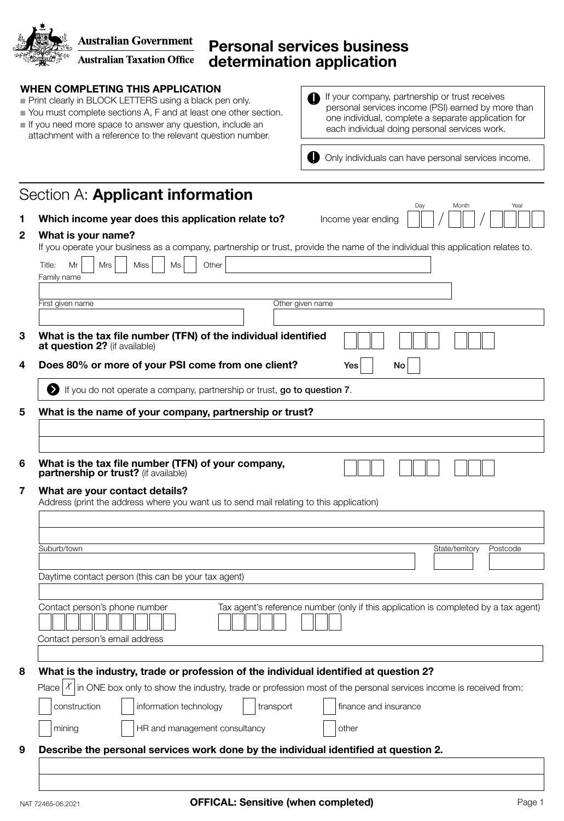**Australian Government**<br>**Australian Taxation Office** 

## Personal services business determination application

| Print clearly in BLOCK LETTERS using a black pen only.<br>You must complete sections A, F and at least one other section.<br>If you need more space to answer any question, include an<br>attachment with a reference to the relevant question number. | If your company, partnership or trust receives<br>personal services income (PSI) earned by more than<br>one individual, complete a separate application for<br>each individual doing personal services work. |
|--------------------------------------------------------------------------------------------------------------------------------------------------------------------------------------------------------------------------------------------------------|--------------------------------------------------------------------------------------------------------------------------------------------------------------------------------------------------------------|
|                                                                                                                                                                                                                                                        | O<br>Only individuals can have personal services income.                                                                                                                                                     |
| Section A: <b>Applicant information</b>                                                                                                                                                                                                                | Day<br>Month<br>Year                                                                                                                                                                                         |
| Which income year does this application relate to?                                                                                                                                                                                                     | Income year ending                                                                                                                                                                                           |
| What is your name?<br>If you operate your business as a company, partnership or trust, provide the name of the individual this application relates to.                                                                                                 |                                                                                                                                                                                                              |
| <b>Miss</b><br>Other<br>Title:<br>Mr<br>Mrs<br>Ms<br>Family name                                                                                                                                                                                       |                                                                                                                                                                                                              |
| First given name                                                                                                                                                                                                                                       | Other given name                                                                                                                                                                                             |
|                                                                                                                                                                                                                                                        |                                                                                                                                                                                                              |
| What is the tax file number (TFN) of the individual identified<br>at question 2? (if available)                                                                                                                                                        |                                                                                                                                                                                                              |
| Does 80% or more of your PSI come from one client?                                                                                                                                                                                                     | Νo<br>Yes                                                                                                                                                                                                    |
| If you do not operate a company, partnership or trust, go to question 7.                                                                                                                                                                               |                                                                                                                                                                                                              |
| What is the tax file number (TFN) of your company,<br>partnership or trust? (if available)<br>What are your contact details?<br>Address (print the address where you want us to send mail relating to this application)                                |                                                                                                                                                                                                              |
|                                                                                                                                                                                                                                                        |                                                                                                                                                                                                              |
| Suburb/town                                                                                                                                                                                                                                            | State/territory<br>Postcode                                                                                                                                                                                  |
|                                                                                                                                                                                                                                                        |                                                                                                                                                                                                              |
| Daytime contact person (this can be your tax agent)                                                                                                                                                                                                    |                                                                                                                                                                                                              |
|                                                                                                                                                                                                                                                        | Tax agent's reference number (only if this application is completed by a tax agent)                                                                                                                          |
| Contact person's phone number                                                                                                                                                                                                                          |                                                                                                                                                                                                              |
| Contact person's email address                                                                                                                                                                                                                         |                                                                                                                                                                                                              |
| What is the industry, trade or profession of the individual identified at question 2?                                                                                                                                                                  |                                                                                                                                                                                                              |
| Place $ X $ in ONE box only to show the industry, trade or profession most of the personal services income is received from:<br>information technology<br>construction<br>transport                                                                    | finance and insurance                                                                                                                                                                                        |
| HR and management consultancy<br>mining                                                                                                                                                                                                                | other                                                                                                                                                                                                        |
| Describe the personal services work done by the individual identified at question 2.                                                                                                                                                                   |                                                                                                                                                                                                              |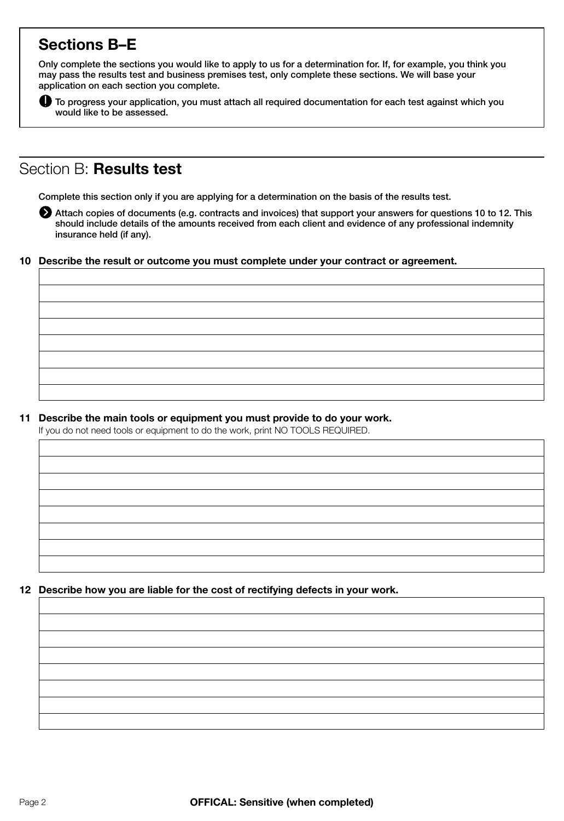# Sections B–E

Only complete the sections you would like to apply to us for a determination for. If, for example, you think you may pass the results test and business premises test, only complete these sections. We will base your application on each section you complete.



To progress your application, you must attach all required documentation for each test against which you would like to be assessed.

## Section B: Results test

Complete this section only if you are applying for a determination on the basis of the results test.

Attach copies of documents (e.g. contracts and invoices) that support your answers for questions 10 to 12. This should include details of the amounts received from each client and evidence of any professional indemnity insurance held (if any).

#### 10 Describe the result or outcome you must complete under your contract or agreement.

11 Describe the main tools or equipment you must provide to do your work.

If you do not need tools or equipment to do the work, print NO TOOLS REQUIRED.

### 12 Describe how you are liable for the cost of rectifying defects in your work.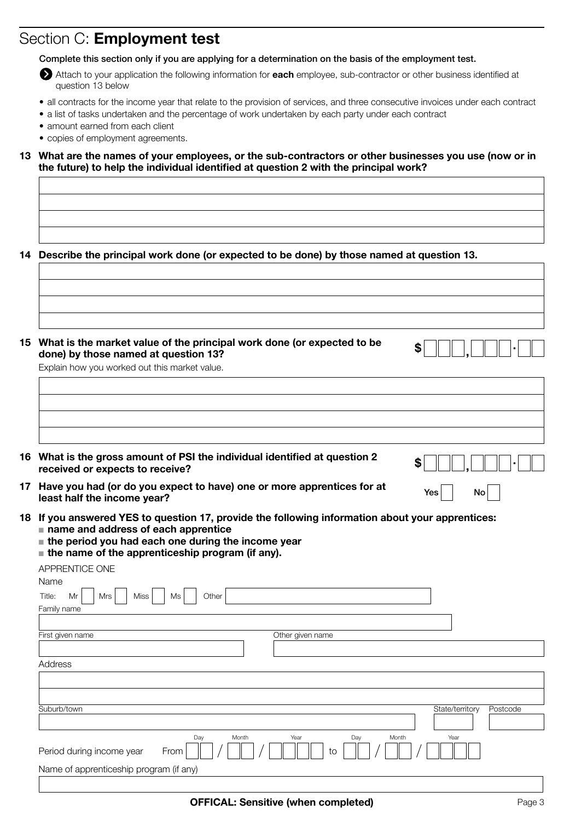# Section C: Employment test

Complete this section only if you are applying for a determination on the basis of the employment test.

Attach to your application the following information for each employee, sub-contractor or other business identified at question 13 below

- all contracts for the income year that relate to the provision of services, and three consecutive invoices under each contract
- a list of tasks undertaken and the percentage of work undertaken by each party under each contract
- amount earned from each client
- copies of employment agreements.

13 What are the names of your employees, or the sub-contractors or other businesses you use (now or in the future) to help the individual identified at question 2 with the principal work?

14 Describe the principal work done (or expected to be done) by those named at question 13.

15 What is the market value of the principal work done (or expected to be  $\$\fbox{\fbox{--}I},\fbox{\fbox{--}I}$.$ 

Explain how you worked out this market value.

| 16 What is the gross amount of PSI the individual identified at question 2 | $\bullet$ $\Box$ , $\Box$ . |
|----------------------------------------------------------------------------|-----------------------------|
| received or expects to receive?                                            |                             |

- 17 Have you had (or do you expect to have) one or more apprentices for at  $\frac{1}{2}$  No least half the income year?
- 18 If you answered YES to question 17, provide the following information about your apprentices:  $\blacksquare$  name and address of each apprentice
	- $\blacksquare$  the period you had each one during the income year
	- $\blacksquare$  the name of the apprenticeship program (if any).

APPRENTICE ONE

| Name                                       |                      |                 |          |
|--------------------------------------------|----------------------|-----------------|----------|
| Miss<br>Other<br>Title:<br>Mrs<br>Mr<br>Ms |                      |                 |          |
| Family name                                |                      |                 |          |
|                                            |                      |                 |          |
| First given name                           | Other given name     |                 |          |
|                                            |                      |                 |          |
| Address                                    |                      |                 |          |
|                                            |                      |                 |          |
|                                            |                      |                 |          |
| Suburb/town                                |                      | State/territory | Postcode |
|                                            |                      |                 |          |
| Day<br>Month                               | Year<br>Month<br>Day | Year            |          |
| From<br>Period during income year          | to                   |                 |          |
| Name of apprenticeship program (if any)    |                      |                 |          |
|                                            |                      |                 |          |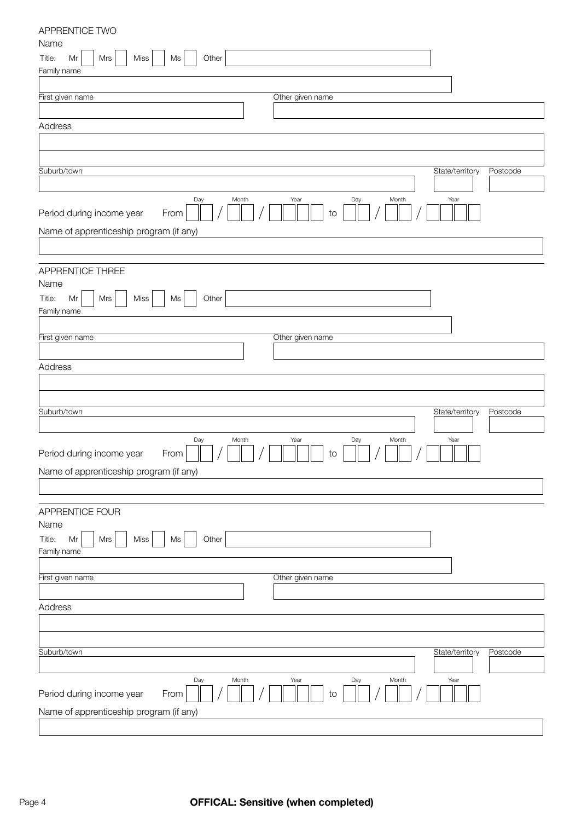| Name                                         |
|----------------------------------------------|
| Title:<br>Mrs<br>Miss<br>Other<br>Mr<br>Ms   |
| Family name                                  |
|                                              |
| First given name<br>Other given name         |
|                                              |
| Address                                      |
|                                              |
|                                              |
| Suburb/town<br>State/territory<br>Postcode   |
| Day<br>Month<br>Year<br>Day<br>Month<br>Year |
| Period during income year<br>From<br>to      |
| Name of apprenticeship program (if any)      |
|                                              |
|                                              |
| APPRENTICE THREE                             |
| Name                                         |
| Mrs<br>Miss<br>Other<br>Title:<br>Mr<br>Ms   |
| Family name                                  |
| First given name<br>Other given name         |
|                                              |
| Address                                      |
|                                              |
|                                              |
| Suburb/town<br>State/territory<br>Postcode   |
|                                              |
| Day<br>Month<br>Year<br>Day<br>Month<br>Year |
| Period during income year<br>From<br>to      |
| Name of apprenticeship program (if any)      |
|                                              |
|                                              |
| APPRENTICE FOUR                              |
| Name                                         |
| Miss<br>Other<br>Title:<br>Mr<br>Mrs<br>Ms   |
| Family name                                  |
| Other given name<br>First given name         |
|                                              |
| Address                                      |
|                                              |
|                                              |
| Suburb/town<br>State/territory<br>Postcode   |
|                                              |
| Day<br>Year<br>Month<br>Year<br>Month<br>Day |
| Period during income year<br>From<br>to      |
| Name of apprenticeship program (if any)      |

APPRENTICE TWO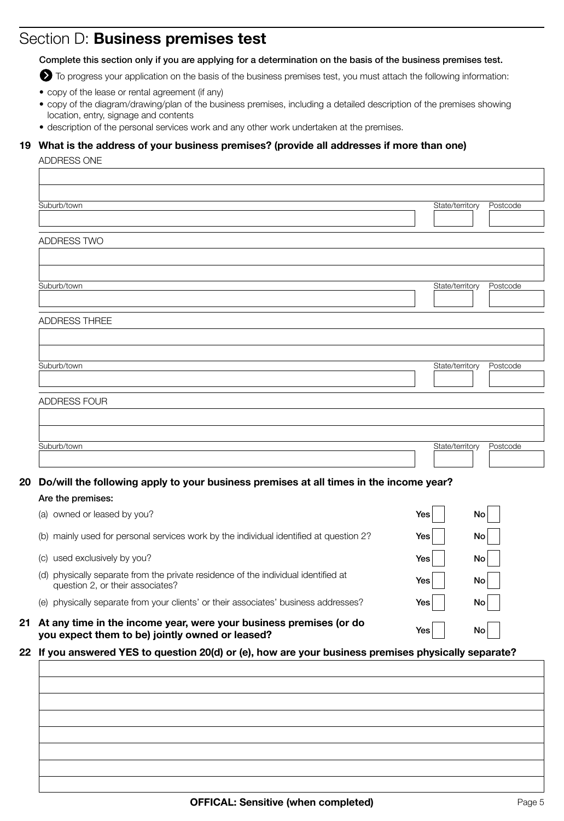## Section D: Business premises test

Complete this section only if you are applying for a determination on the basis of the business premises test.

To progress your application on the basis of the business premises test, you must attach the following information:

- copy of the lease or rental agreement (if any)
- copy of the diagram/drawing/plan of the business premises, including a detailed description of the premises showing location, entry, signage and contents
- description of the personal services work and any other work undertaken at the premises.

## 19 What is the address of your business premises? (provide all addresses if more than one)

#### ADDRESS ONE

| Suburb/town                                                                            |     | State/territory | Postcode |
|----------------------------------------------------------------------------------------|-----|-----------------|----------|
|                                                                                        |     |                 |          |
| ADDRESS TWO                                                                            |     |                 |          |
|                                                                                        |     |                 |          |
|                                                                                        |     |                 |          |
| Suburb/town                                                                            |     | State/territory | Postcode |
|                                                                                        |     |                 |          |
| <b>ADDRESS THREE</b>                                                                   |     |                 |          |
|                                                                                        |     |                 |          |
|                                                                                        |     |                 |          |
| Suburb/town                                                                            |     | State/territory | Postcode |
|                                                                                        |     |                 |          |
| ADDRESS FOUR                                                                           |     |                 |          |
|                                                                                        |     |                 |          |
|                                                                                        |     |                 |          |
| Suburb/town                                                                            |     | State/territory | Postcode |
|                                                                                        |     |                 |          |
| Do/will the following apply to your business premises at all times in the income year? |     |                 |          |
| Are the premises:                                                                      |     |                 |          |
| (a) owned or leased by you?                                                            | Yes | No              |          |
| (b) mainly used for personal services work by the individual identified at question 2? | Yes | No              |          |
| (c) used exclusively by you?                                                           | Yes | No              |          |

(d) physically separate from the private residence of the individual identified at  $Y_{\text{ES}}$   $\Box$ question 2, or their associates?

(e) physically separate from your clients' or their associates' business addresses? Yes Yes No

21 At any time in the income year, were your business premises (or do you expect them to be) jointly owned or leased?

## 22 If you answered YES to question 20(d) or (e), how are your business premises physically separate?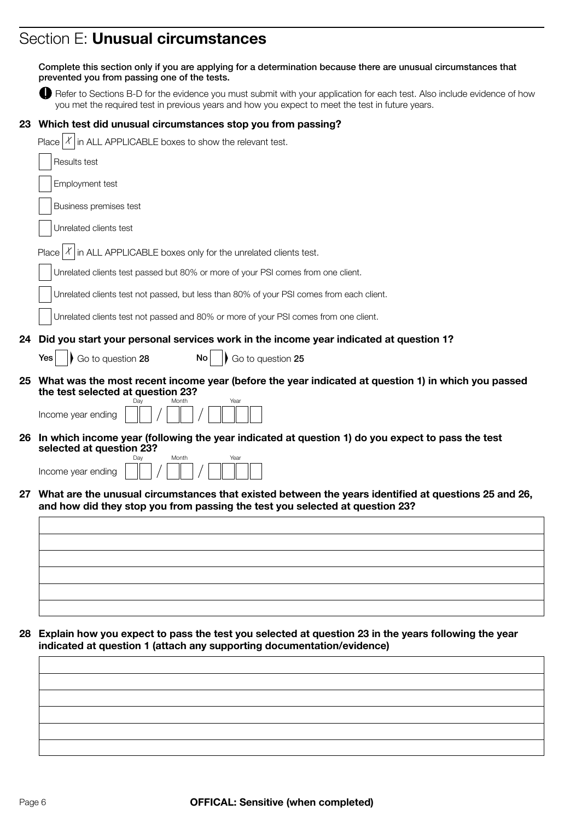# Section E: Unusual circumstances

|    | Complete this section only if you are applying for a determination because there are unusual circumstances that<br>prevented you from passing one of the tests.                                                              |
|----|------------------------------------------------------------------------------------------------------------------------------------------------------------------------------------------------------------------------------|
|    | Refer to Sections B-D for the evidence you must submit with your application for each test. Also include evidence of how<br>you met the required test in previous years and how you expect to meet the test in future years. |
| 23 | Which test did unusual circumstances stop you from passing?                                                                                                                                                                  |
|    | in ALL APPLICABLE boxes to show the relevant test.<br>Place $ \mathcal{X} $                                                                                                                                                  |
|    | Results test                                                                                                                                                                                                                 |
|    | Employment test                                                                                                                                                                                                              |
|    | Business premises test                                                                                                                                                                                                       |
|    | Unrelated clients test                                                                                                                                                                                                       |
|    | in ALL APPLICABLE boxes only for the unrelated clients test.<br>Place                                                                                                                                                        |
|    | Unrelated clients test passed but 80% or more of your PSI comes from one client.                                                                                                                                             |
|    | Unrelated clients test not passed, but less than 80% of your PSI comes from each client.                                                                                                                                     |
|    | Unrelated clients test not passed and 80% or more of your PSI comes from one client.                                                                                                                                         |
| 24 | Did you start your personal services work in the income year indicated at question 1?                                                                                                                                        |
|    | Go to question 28<br>Go to question 25<br><b>No</b><br>Yes                                                                                                                                                                   |
| 25 | What was the most recent income year (before the year indicated at question 1) in which you passed<br>the test selected at question 23?                                                                                      |
|    | Income year ending                                                                                                                                                                                                           |
|    | 26 In which income year (following the year indicated at question 1) do you expect to pass the test<br>selected at question 23?                                                                                              |
|    | Month<br>Year<br>Income year ending                                                                                                                                                                                          |
|    | 27 What are the unusual circumstances that existed between the years identified at questions 25 and 26<br>and how did they stop you from passing the test you selected at question 23?                                       |
|    |                                                                                                                                                                                                                              |
|    |                                                                                                                                                                                                                              |
|    |                                                                                                                                                                                                                              |
|    |                                                                                                                                                                                                                              |
|    |                                                                                                                                                                                                                              |
| 28 | Explain how you expect to pass the test you selected at question 23 in the years following the year<br>indicated at question 1 (attach any supporting documentation/evidence)                                                |
|    |                                                                                                                                                                                                                              |